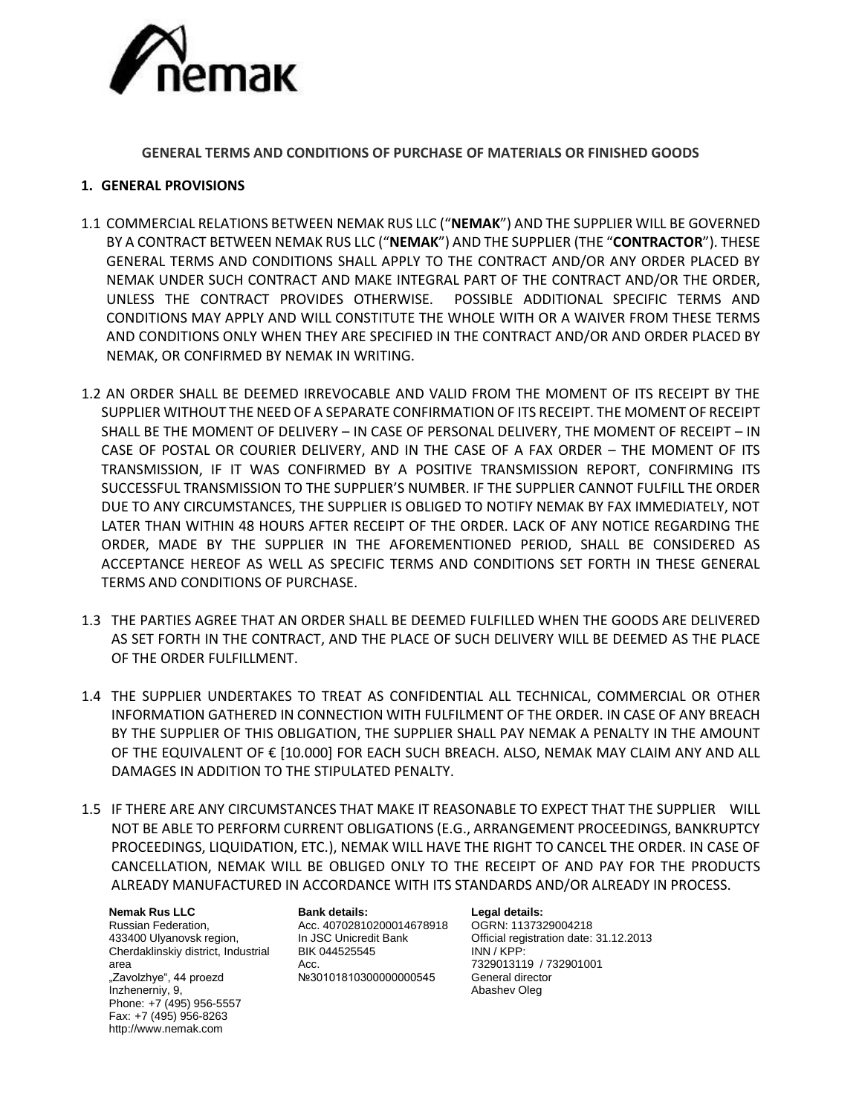

**GENERAL TERMS AND CONDITIONS OF PURCHASE OF MATERIALS OR FINISHED GOODS** 

# **1. GENERAL PROVISIONS**

- 1.1 COMMERCIAL RELATIONS BETWEEN NEMAK RUS LLC ("**NEMAK**") AND THE SUPPLIER WILL BE GOVERNED BY A CONTRACT BETWEEN NEMAK RUS LLC ("**NEMAK**") AND THE SUPPLIER (THE "**CONTRACTOR**"). THESE GENERAL TERMS AND CONDITIONS SHALL APPLY TO THE CONTRACT AND/OR ANY ORDER PLACED BY NEMAK UNDER SUCH CONTRACT AND MAKE INTEGRAL PART OF THE CONTRACT AND/OR THE ORDER, UNLESS THE CONTRACT PROVIDES OTHERWISE. POSSIBLE ADDITIONAL SPECIFIC TERMS AND CONDITIONS MAY APPLY AND WILL CONSTITUTE THE WHOLE WITH OR A WAIVER FROM THESE TERMS AND CONDITIONS ONLY WHEN THEY ARE SPECIFIED IN THE CONTRACT AND/OR AND ORDER PLACED BY NEMAK, OR CONFIRMED BY NEMAK IN WRITING.
- 1.2 AN ORDER SHALL BE DEEMED IRREVOCABLE AND VALID FROM THE MOMENT OF ITS RECEIPT BY THE SUPPLIER WITHOUT THE NEED OF A SEPARATE CONFIRMATION OF ITS RECEIPT. THE MOMENT OF RECEIPT SHALL BE THE MOMENT OF DELIVERY – IN CASE OF PERSONAL DELIVERY, THE MOMENT OF RECEIPT – IN CASE OF POSTAL OR COURIER DELIVERY, AND IN THE CASE OF A FAX ORDER – THE MOMENT OF ITS TRANSMISSION, IF IT WAS CONFIRMED BY A POSITIVE TRANSMISSION REPORT, CONFIRMING ITS SUCCESSFUL TRANSMISSION TO THE SUPPLIER'S NUMBER. IF THE SUPPLIER CANNOT FULFILL THE ORDER DUE TO ANY CIRCUMSTANCES, THE SUPPLIER IS OBLIGED TO NOTIFY NEMAK BY FAX IMMEDIATELY, NOT LATER THAN WITHIN 48 HOURS AFTER RECEIPT OF THE ORDER. LACK OF ANY NOTICE REGARDING THE ORDER, MADE BY THE SUPPLIER IN THE AFOREMENTIONED PERIOD, SHALL BE CONSIDERED AS ACCEPTANCE HEREOF AS WELL AS SPECIFIC TERMS AND CONDITIONS SET FORTH IN THESE GENERAL TERMS AND CONDITIONS OF PURCHASE.
- 1.3 THE PARTIES AGREE THAT AN ORDER SHALL BE DEEMED FULFILLED WHEN THE GOODS ARE DELIVERED AS SET FORTH IN THE CONTRACT, AND THE PLACE OF SUCH DELIVERY WILL BE DEEMED AS THE PLACE OF THE ORDER FULFILLMENT.
- 1.4 THE SUPPLIER UNDERTAKES TO TREAT AS CONFIDENTIAL ALL TECHNICAL, COMMERCIAL OR OTHER INFORMATION GATHERED IN CONNECTION WITH FULFILMENT OF THE ORDER. IN CASE OF ANY BREACH BY THE SUPPLIER OF THIS OBLIGATION, THE SUPPLIER SHALL PAY NEMAK A PENALTY IN THE AMOUNT OF THE EQUIVALENT OF € [10.000] FOR EACH SUCH BREACH. ALSO, NEMAK MAY CLAIM ANY AND ALL DAMAGES IN ADDITION TO THE STIPULATED PENALTY.
- 1.5 IF THERE ARE ANY CIRCUMSTANCES THAT MAKE IT REASONABLE TO EXPECT THAT THE SUPPLIER WILL NOT BE ABLE TO PERFORM CURRENT OBLIGATIONS (E.G., ARRANGEMENT PROCEEDINGS, BANKRUPTCY PROCEEDINGS, LIQUIDATION, ETC.), NEMAK WILL HAVE THE RIGHT TO CANCEL THE ORDER. IN CASE OF CANCELLATION, NEMAK WILL BE OBLIGED ONLY TO THE RECEIPT OF AND PAY FOR THE PRODUCTS ALREADY MANUFACTURED IN ACCORDANCE WITH ITS STANDARDS AND/OR ALREADY IN PROCESS.

**Nemak Rus LLC** Russian Federation, 433400 Ulyanovsk region, Cherdaklinskiy district, Industrial area "Zavolzhye", 44 proezd Inzhenerniy, 9, Phone: +7 (495) 956-5557 Fax: +7 (495) 956-8263 http://www.nemak.com

**Bank details:** Acc. 40702810200014678918 In JSC Unicredit Bank BIK 044525545 Acc. №30101810300000000545

**Legal details:** OGRN: 1137329004218 Official registration date: 31.12.2013 INN / KPP: 7329013119 / 732901001 General director

Abashev Oleg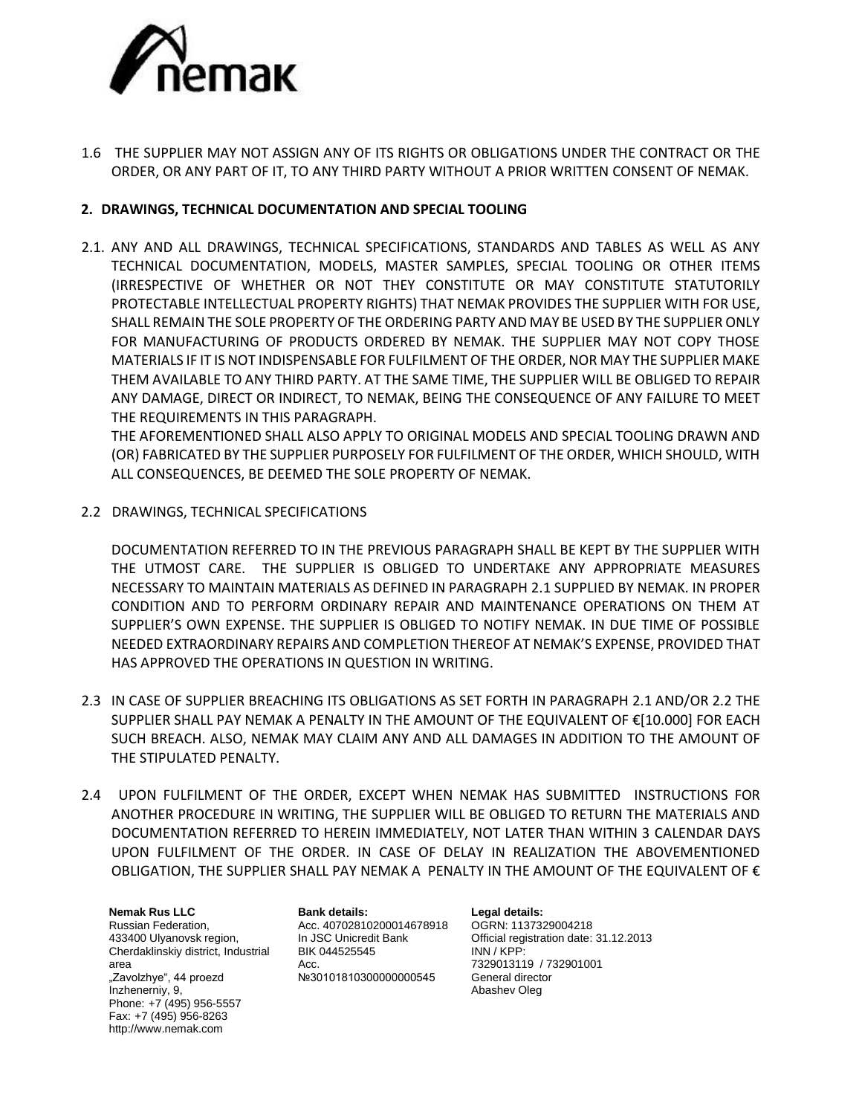

1.6 THE SUPPLIER MAY NOT ASSIGN ANY OF ITS RIGHTS OR OBLIGATIONS UNDER THE CONTRACT OR THE ORDER, OR ANY PART OF IT, TO ANY THIRD PARTY WITHOUT A PRIOR WRITTEN CONSENT OF NEMAK.

## **2. DRAWINGS, TECHNICAL DOCUMENTATION AND SPECIAL TOOLING**

2.1. ANY AND ALL DRAWINGS, TECHNICAL SPECIFICATIONS, STANDARDS AND TABLES AS WELL AS ANY TECHNICAL DOCUMENTATION, MODELS, MASTER SAMPLES, SPECIAL TOOLING OR OTHER ITEMS (IRRESPECTIVE OF WHETHER OR NOT THEY CONSTITUTE OR MAY CONSTITUTE STATUTORILY PROTECTABLE INTELLECTUAL PROPERTY RIGHTS) THAT NEMAK PROVIDES THE SUPPLIER WITH FOR USE, SHALL REMAIN THE SOLE PROPERTY OF THE ORDERING PARTY AND MAY BE USED BY THE SUPPLIER ONLY FOR MANUFACTURING OF PRODUCTS ORDERED BY NEMAK. THE SUPPLIER MAY NOT COPY THOSE MATERIALS IF IT IS NOT INDISPENSABLE FOR FULFILMENT OF THE ORDER, NOR MAY THE SUPPLIER MAKE THEM AVAILABLE TO ANY THIRD PARTY. AT THE SAME TIME, THE SUPPLIER WILL BE OBLIGED TO REPAIR ANY DAMAGE, DIRECT OR INDIRECT, TO NEMAK, BEING THE CONSEQUENCE OF ANY FAILURE TO MEET THE REQUIREMENTS IN THIS PARAGRAPH.

THE AFOREMENTIONED SHALL ALSO APPLY TO ORIGINAL MODELS AND SPECIAL TOOLING DRAWN AND (OR) FABRICATED BY THE SUPPLIER PURPOSELY FOR FULFILMENT OF THE ORDER, WHICH SHOULD, WITH ALL CONSEQUENCES, BE DEEMED THE SOLE PROPERTY OF NEMAK.

2.2 DRAWINGS, TECHNICAL SPECIFICATIONS

DOCUMENTATION REFERRED TO IN THE PREVIOUS PARAGRAPH SHALL BE KEPT BY THE SUPPLIER WITH THE UTMOST CARE. THE SUPPLIER IS OBLIGED TO UNDERTAKE ANY APPROPRIATE MEASURES NECESSARY TO MAINTAIN MATERIALS AS DEFINED IN PARAGRAPH 2.1 SUPPLIED BY NEMAK. IN PROPER CONDITION AND TO PERFORM ORDINARY REPAIR AND MAINTENANCE OPERATIONS ON THEM AT SUPPLIER'S OWN EXPENSE. THE SUPPLIER IS OBLIGED TO NOTIFY NEMAK. IN DUE TIME OF POSSIBLE NEEDED EXTRAORDINARY REPAIRS AND COMPLETION THEREOF AT NEMAK'S EXPENSE, PROVIDED THAT HAS APPROVED THE OPERATIONS IN QUESTION IN WRITING.

- 2.3 IN CASE OF SUPPLIER BREACHING ITS OBLIGATIONS AS SET FORTH IN PARAGRAPH 2.1 AND/OR 2.2 THE SUPPLIER SHALL PAY NEMAK A PENALTY IN THE AMOUNT OF THE EQUIVALENT OF €[10.000] FOR EACH SUCH BREACH. ALSO, NEMAK MAY CLAIM ANY AND ALL DAMAGES IN ADDITION TO THE AMOUNT OF THE STIPULATED PENALTY.
- 2.4 UPON FULFILMENT OF THE ORDER, EXCEPT WHEN NEMAK HAS SUBMITTED INSTRUCTIONS FOR ANOTHER PROCEDURE IN WRITING, THE SUPPLIER WILL BE OBLIGED TO RETURN THE MATERIALS AND DOCUMENTATION REFERRED TO HEREIN IMMEDIATELY, NOT LATER THAN WITHIN 3 CALENDAR DAYS UPON FULFILMENT OF THE ORDER. IN CASE OF DELAY IN REALIZATION THE ABOVEMENTIONED OBLIGATION, THE SUPPLIER SHALL PAY NEMAK A PENALTY IN THE AMOUNT OF THE EQUIVALENT OF  $\epsilon$

**Nemak Rus LLC** Russian Federation, 433400 Ulyanovsk region, Cherdaklinskiy district, Industrial area "Zavolzhye", 44 proezd Inzhenerniy, 9, Phone: +7 (495) 956-5557 Fax: +7 (495) 956-8263 http://www.nemak.com

**Bank details:** Acc. 40702810200014678918 In JSC Unicredit Bank BIK 044525545 Acc. №30101810300000000545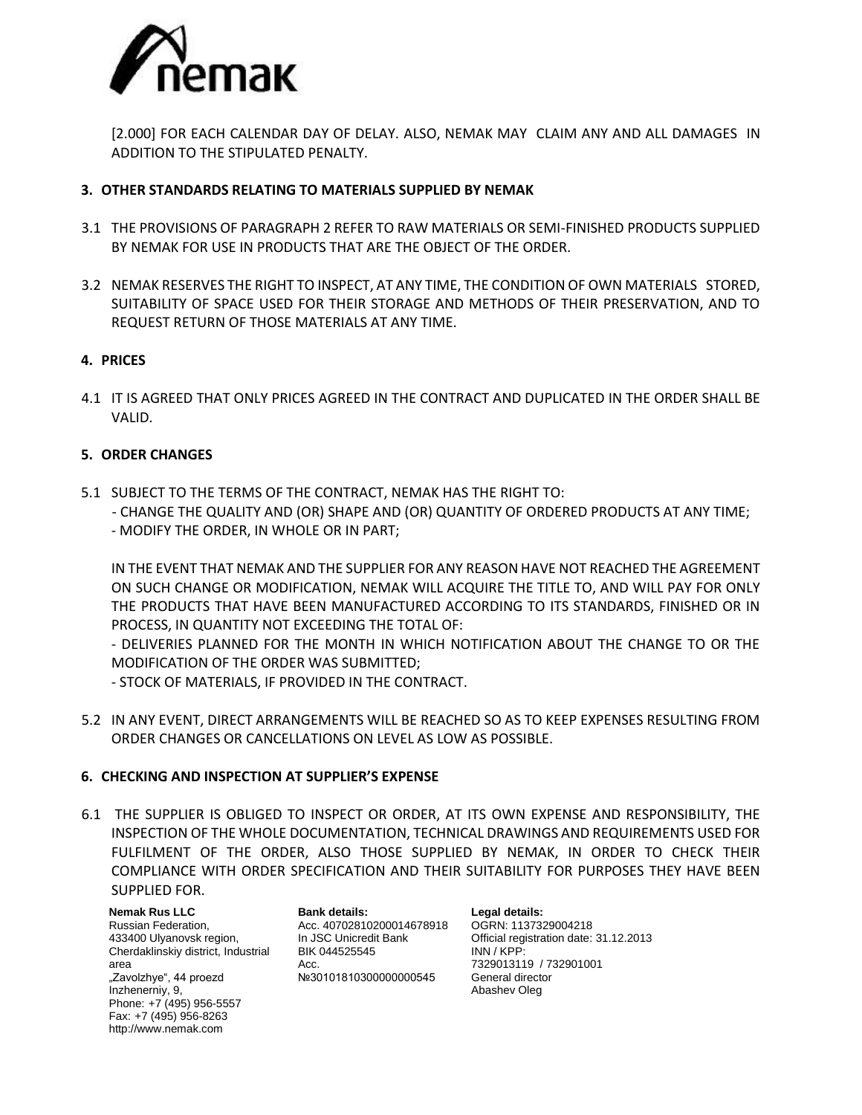

[2.000] FOR EACH CALENDAR DAY OF DELAY. ALSO, NEMAK MAY CLAIM ANY AND ALL DAMAGES IN ADDITION TO THE STIPULATED PENALTY.

# **3. OTHER STANDARDS RELATING TO MATERIALS SUPPLIED BY NEMAK**

- 3.1 THE PROVISIONS OF PARAGRAPH 2 REFER TO RAW MATERIALS OR SEMI-FINISHED PRODUCTS SUPPLIED BY NEMAK FOR USE IN PRODUCTS THAT ARE THE OBJECT OF THE ORDER.
- 3.2 NEMAK RESERVES THE RIGHT TO INSPECT, AT ANY TIME, THE CONDITION OF OWN MATERIALS STORED, SUITABILITY OF SPACE USED FOR THEIR STORAGE AND METHODS OF THEIR PRESERVATION, AND TO REQUEST RETURN OF THOSE MATERIALS AT ANY TIME.

## **4. PRICES**

4.1 IT IS AGREED THAT ONLY PRICES AGREED IN THE CONTRACT AND DUPLICATED IN THE ORDER SHALL BE VALID.

## **5. ORDER CHANGES**

- 5.1 SUBJECT TO THE TERMS OF THE CONTRACT, NEMAK HAS THE RIGHT TO:
	- CHANGE THE QUALITY AND (OR) SHAPE AND (OR) QUANTITY OF ORDERED PRODUCTS AT ANY TIME;
	- MODIFY THE ORDER, IN WHOLE OR IN PART;

IN THE EVENT THAT NEMAK AND THE SUPPLIER FOR ANY REASON HAVE NOT REACHED THE AGREEMENT ON SUCH CHANGE OR MODIFICATION, NEMAK WILL ACQUIRE THE TITLE TO, AND WILL PAY FOR ONLY THE PRODUCTS THAT HAVE BEEN MANUFACTURED ACCORDING TO ITS STANDARDS, FINISHED OR IN PROCESS, IN QUANTITY NOT EXCEEDING THE TOTAL OF:

- DELIVERIES PLANNED FOR THE MONTH IN WHICH NOTIFICATION ABOUT THE CHANGE TO OR THE MODIFICATION OF THE ORDER WAS SUBMITTED;

- STOCK OF MATERIALS, IF PROVIDED IN THE CONTRACT.

5.2 IN ANY EVENT, DIRECT ARRANGEMENTS WILL BE REACHED SO AS TO KEEP EXPENSES RESULTING FROM ORDER CHANGES OR CANCELLATIONS ON LEVEL AS LOW AS POSSIBLE.

## **6. CHECKING AND INSPECTION AT SUPPLIER'S EXPENSE**

6.1 THE SUPPLIER IS OBLIGED TO INSPECT OR ORDER, AT ITS OWN EXPENSE AND RESPONSIBILITY, THE INSPECTION OF THE WHOLE DOCUMENTATION, TECHNICAL DRAWINGS AND REQUIREMENTS USED FOR FULFILMENT OF THE ORDER, ALSO THOSE SUPPLIED BY NEMAK, IN ORDER TO CHECK THEIR COMPLIANCE WITH ORDER SPECIFICATION AND THEIR SUITABILITY FOR PURPOSES THEY HAVE BEEN SUPPLIED FOR.

**Nemak Rus LLC** Russian Federation, 433400 Ulyanovsk region, Cherdaklinskiy district, Industrial area "Zavolzhye", 44 proezd Inzhenerniy, 9, Phone: +7 (495) 956-5557 Fax: +7 (495) 956-8263 http://www.nemak.com

**Bank details:** Acc. 40702810200014678918 In JSC Unicredit Bank BIK 044525545 Acc. №30101810300000000545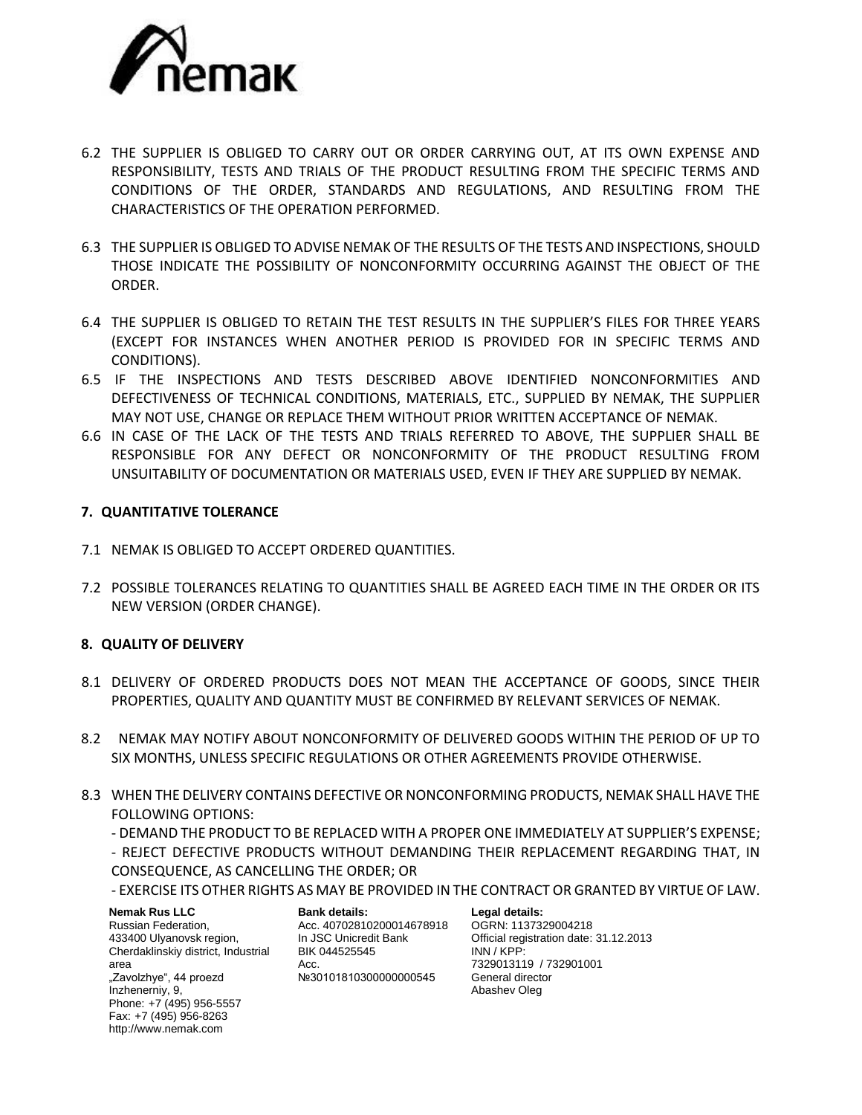

- 6.2 THE SUPPLIER IS OBLIGED TO CARRY OUT OR ORDER CARRYING OUT, AT ITS OWN EXPENSE AND RESPONSIBILITY, TESTS AND TRIALS OF THE PRODUCT RESULTING FROM THE SPECIFIC TERMS AND CONDITIONS OF THE ORDER, STANDARDS AND REGULATIONS, AND RESULTING FROM THE CHARACTERISTICS OF THE OPERATION PERFORMED.
- 6.3 THE SUPPLIER IS OBLIGED TO ADVISE NEMAK OF THE RESULTS OF THE TESTS AND INSPECTIONS, SHOULD THOSE INDICATE THE POSSIBILITY OF NONCONFORMITY OCCURRING AGAINST THE OBJECT OF THE ORDER.
- 6.4 THE SUPPLIER IS OBLIGED TO RETAIN THE TEST RESULTS IN THE SUPPLIER'S FILES FOR THREE YEARS (EXCEPT FOR INSTANCES WHEN ANOTHER PERIOD IS PROVIDED FOR IN SPECIFIC TERMS AND CONDITIONS).
- 6.5 IF THE INSPECTIONS AND TESTS DESCRIBED ABOVE IDENTIFIED NONCONFORMITIES AND DEFECTIVENESS OF TECHNICAL CONDITIONS, MATERIALS, ETC., SUPPLIED BY NEMAK, THE SUPPLIER MAY NOT USE, CHANGE OR REPLACE THEM WITHOUT PRIOR WRITTEN ACCEPTANCE OF NEMAK.
- 6.6 IN CASE OF THE LACK OF THE TESTS AND TRIALS REFERRED TO ABOVE, THE SUPPLIER SHALL BE RESPONSIBLE FOR ANY DEFECT OR NONCONFORMITY OF THE PRODUCT RESULTING FROM UNSUITABILITY OF DOCUMENTATION OR MATERIALS USED, EVEN IF THEY ARE SUPPLIED BY NEMAK.

## **7. QUANTITATIVE TOLERANCE**

- 7.1 NEMAK IS OBLIGED TO ACCEPT ORDERED QUANTITIES.
- 7.2 POSSIBLE TOLERANCES RELATING TO QUANTITIES SHALL BE AGREED EACH TIME IN THE ORDER OR ITS NEW VERSION (ORDER CHANGE).

# **8. QUALITY OF DELIVERY**

- 8.1 DELIVERY OF ORDERED PRODUCTS DOES NOT MEAN THE ACCEPTANCE OF GOODS, SINCE THEIR PROPERTIES, QUALITY AND QUANTITY MUST BE CONFIRMED BY RELEVANT SERVICES OF NEMAK.
- 8.2 NEMAK MAY NOTIFY ABOUT NONCONFORMITY OF DELIVERED GOODS WITHIN THE PERIOD OF UP TO SIX MONTHS, UNLESS SPECIFIC REGULATIONS OR OTHER AGREEMENTS PROVIDE OTHERWISE.
- 8.3 WHEN THE DELIVERY CONTAINS DEFECTIVE OR NONCONFORMING PRODUCTS, NEMAK SHALL HAVE THE FOLLOWING OPTIONS:
	- DEMAND THE PRODUCT TO BE REPLACED WITH A PROPER ONE IMMEDIATELY AT SUPPLIER'S EXPENSE; - REJECT DEFECTIVE PRODUCTS WITHOUT DEMANDING THEIR REPLACEMENT REGARDING THAT, IN CONSEQUENCE, AS CANCELLING THE ORDER; OR
	- EXERCISE ITS OTHER RIGHTS AS MAY BE PROVIDED IN THE CONTRACT OR GRANTED BY VIRTUE OF LAW.

**Nemak Rus LLC** Russian Federation, 433400 Ulyanovsk region, Cherdaklinskiy district, Industrial area "Zavolzhye", 44 proezd Inzhenerniy, 9, Phone: +7 (495) 956-5557 Fax: +7 (495) 956-8263 http://www.nemak.com

**Bank details:** Acc. 40702810200014678918 In JSC Unicredit Bank BIK 044525545 Acc. №30101810300000000545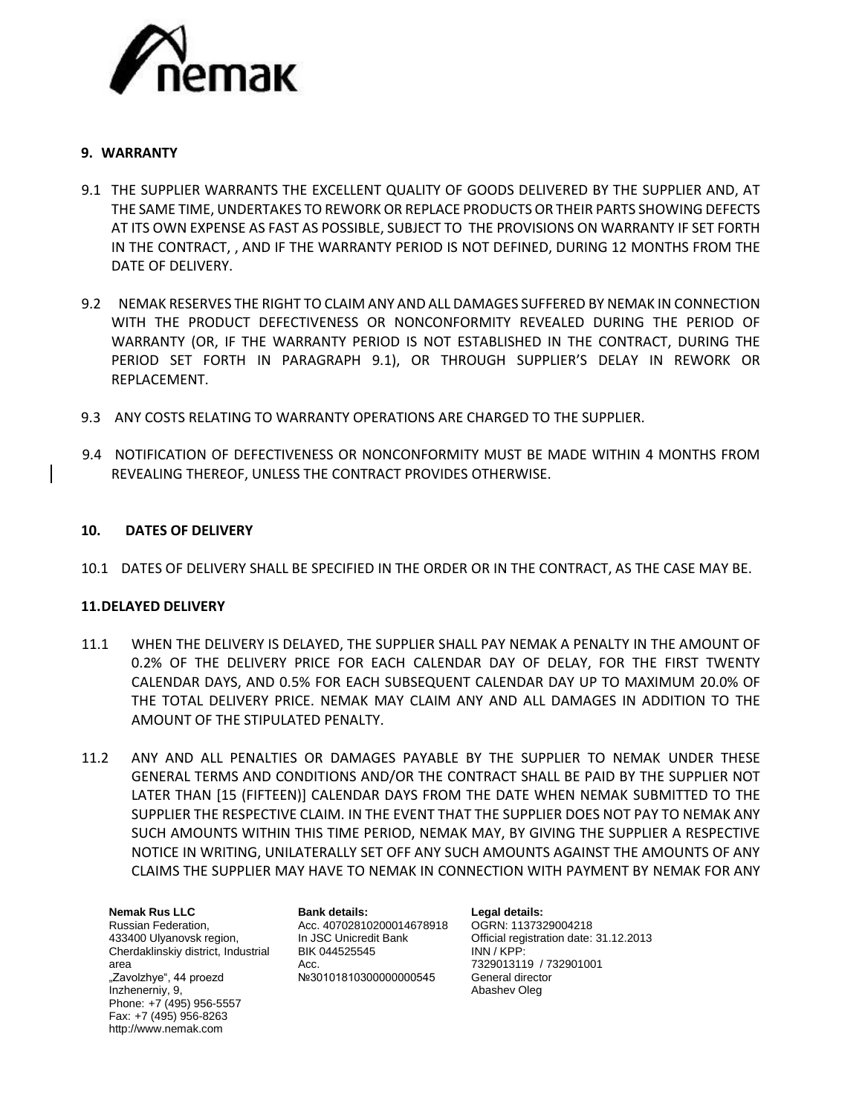

# **9. WARRANTY**

- 9.1 THE SUPPLIER WARRANTS THE EXCELLENT QUALITY OF GOODS DELIVERED BY THE SUPPLIER AND, AT THE SAME TIME, UNDERTAKES TO REWORK OR REPLACE PRODUCTS OR THEIR PARTS SHOWING DEFECTS AT ITS OWN EXPENSE AS FAST AS POSSIBLE, SUBJECT TO THE PROVISIONS ON WARRANTY IF SET FORTH IN THE CONTRACT, , AND IF THE WARRANTY PERIOD IS NOT DEFINED, DURING 12 MONTHS FROM THE DATE OF DELIVERY.
- 9.2 NEMAK RESERVES THE RIGHT TO CLAIM ANY AND ALL DAMAGES SUFFERED BY NEMAK IN CONNECTION WITH THE PRODUCT DEFECTIVENESS OR NONCONFORMITY REVEALED DURING THE PERIOD OF WARRANTY (OR, IF THE WARRANTY PERIOD IS NOT ESTABLISHED IN THE CONTRACT, DURING THE PERIOD SET FORTH IN PARAGRAPH 9.1), OR THROUGH SUPPLIER'S DELAY IN REWORK OR REPLACEMENT.
- 9.3 ANY COSTS RELATING TO WARRANTY OPERATIONS ARE CHARGED TO THE SUPPLIER.
- 9.4 NOTIFICATION OF DEFECTIVENESS OR NONCONFORMITY MUST BE MADE WITHIN 4 MONTHS FROM REVEALING THEREOF, UNLESS THE CONTRACT PROVIDES OTHERWISE.

## **10. DATES OF DELIVERY**

10.1 DATES OF DELIVERY SHALL BE SPECIFIED IN THE ORDER OR IN THE CONTRACT, AS THE CASE MAY BE.

## **11.DELAYED DELIVERY**

- 11.1 WHEN THE DELIVERY IS DELAYED, THE SUPPLIER SHALL PAY NEMAK A PENALTY IN THE AMOUNT OF 0.2% OF THE DELIVERY PRICE FOR EACH CALENDAR DAY OF DELAY, FOR THE FIRST TWENTY CALENDAR DAYS, AND 0.5% FOR EACH SUBSEQUENT CALENDAR DAY UP TO MAXIMUM 20.0% OF THE TOTAL DELIVERY PRICE. NEMAK MAY CLAIM ANY AND ALL DAMAGES IN ADDITION TO THE AMOUNT OF THE STIPULATED PENALTY.
- 11.2 ANY AND ALL PENALTIES OR DAMAGES PAYABLE BY THE SUPPLIER TO NEMAK UNDER THESE GENERAL TERMS AND CONDITIONS AND/OR THE CONTRACT SHALL BE PAID BY THE SUPPLIER NOT LATER THAN [15 (FIFTEEN)] CALENDAR DAYS FROM THE DATE WHEN NEMAK SUBMITTED TO THE SUPPLIER THE RESPECTIVE CLAIM. IN THE EVENT THAT THE SUPPLIER DOES NOT PAY TO NEMAK ANY SUCH AMOUNTS WITHIN THIS TIME PERIOD, NEMAK MAY, BY GIVING THE SUPPLIER A RESPECTIVE NOTICE IN WRITING, UNILATERALLY SET OFF ANY SUCH AMOUNTS AGAINST THE AMOUNTS OF ANY CLAIMS THE SUPPLIER MAY HAVE TO NEMAK IN CONNECTION WITH PAYMENT BY NEMAK FOR ANY

**Nemak Rus LLC** Russian Federation, 433400 Ulyanovsk region, Cherdaklinskiy district, Industrial area "Zavolzhye", 44 proezd Inzhenerniy, 9, Phone: +7 (495) 956-5557 Fax: +7 (495) 956-8263 http://www.nemak.com

**Bank details:** Acc. 40702810200014678918 In JSC Unicredit Bank BIK 044525545 Acc. №30101810300000000545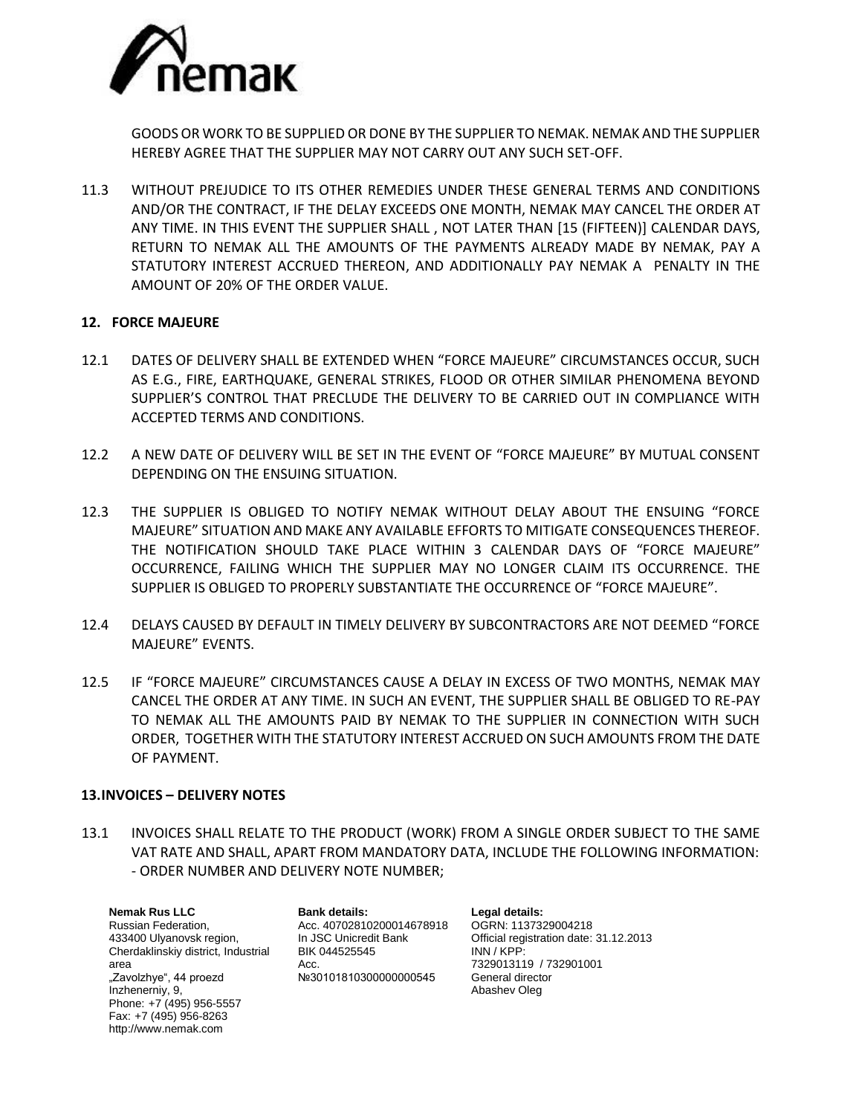

GOODS OR WORK TO BE SUPPLIED OR DONE BY THE SUPPLIER TO NEMAK. NEMAK AND THE SUPPLIER HEREBY AGREE THAT THE SUPPLIER MAY NOT CARRY OUT ANY SUCH SET-OFF.

11.3 WITHOUT PREJUDICE TO ITS OTHER REMEDIES UNDER THESE GENERAL TERMS AND CONDITIONS AND/OR THE CONTRACT, IF THE DELAY EXCEEDS ONE MONTH, NEMAK MAY CANCEL THE ORDER AT ANY TIME. IN THIS EVENT THE SUPPLIER SHALL , NOT LATER THAN [15 (FIFTEEN)] CALENDAR DAYS, RETURN TO NEMAK ALL THE AMOUNTS OF THE PAYMENTS ALREADY MADE BY NEMAK, PAY A STATUTORY INTEREST ACCRUED THEREON, AND ADDITIONALLY PAY NEMAK A PENALTY IN THE AMOUNT OF 20% OF THE ORDER VALUE.

## **12. FORCE MAJEURE**

- 12.1 DATES OF DELIVERY SHALL BE EXTENDED WHEN "FORCE MAJEURE" CIRCUMSTANCES OCCUR, SUCH AS E.G., FIRE, EARTHQUAKE, GENERAL STRIKES, FLOOD OR OTHER SIMILAR PHENOMENA BEYOND SUPPLIER'S CONTROL THAT PRECLUDE THE DELIVERY TO BE CARRIED OUT IN COMPLIANCE WITH ACCEPTED TERMS AND CONDITIONS.
- 12.2 A NEW DATE OF DELIVERY WILL BE SET IN THE EVENT OF "FORCE MAJEURE" BY MUTUAL CONSENT DEPENDING ON THE ENSUING SITUATION.
- 12.3 THE SUPPLIER IS OBLIGED TO NOTIFY NEMAK WITHOUT DELAY ABOUT THE ENSUING "FORCE MAJEURE" SITUATION AND MAKE ANY AVAILABLE EFFORTS TO MITIGATE CONSEQUENCES THEREOF. THE NOTIFICATION SHOULD TAKE PLACE WITHIN 3 CALENDAR DAYS OF "FORCE MAJEURE" OCCURRENCE, FAILING WHICH THE SUPPLIER MAY NO LONGER CLAIM ITS OCCURRENCE. THE SUPPLIER IS OBLIGED TO PROPERLY SUBSTANTIATE THE OCCURRENCE OF "FORCE MAJEURE".
- 12.4 DELAYS CAUSED BY DEFAULT IN TIMELY DELIVERY BY SUBCONTRACTORS ARE NOT DEEMED "FORCE MAJEURE" EVENTS.
- 12.5 IF "FORCE MAJEURE" CIRCUMSTANCES CAUSE A DELAY IN EXCESS OF TWO MONTHS, NEMAK MAY CANCEL THE ORDER AT ANY TIME. IN SUCH AN EVENT, THE SUPPLIER SHALL BE OBLIGED TO RE-PAY TO NEMAK ALL THE AMOUNTS PAID BY NEMAK TO THE SUPPLIER IN CONNECTION WITH SUCH ORDER, TOGETHER WITH THE STATUTORY INTEREST ACCRUED ON SUCH AMOUNTS FROM THE DATE OF PAYMENT.

## **13.INVOICES – DELIVERY NOTES**

13.1 INVOICES SHALL RELATE TO THE PRODUCT (WORK) FROM A SINGLE ORDER SUBJECT TO THE SAME VAT RATE AND SHALL, APART FROM MANDATORY DATA, INCLUDE THE FOLLOWING INFORMATION: - ORDER NUMBER AND DELIVERY NOTE NUMBER;

**Nemak Rus LLC** Russian Federation, 433400 Ulyanovsk region, Cherdaklinskiy district, Industrial area "Zavolzhye", 44 proezd Inzhenerniy, 9, Phone: +7 (495) 956-5557 Fax: +7 (495) 956-8263 http://www.nemak.com

**Bank details:** Acc. 40702810200014678918 In JSC Unicredit Bank BIK 044525545 Acc. №30101810300000000545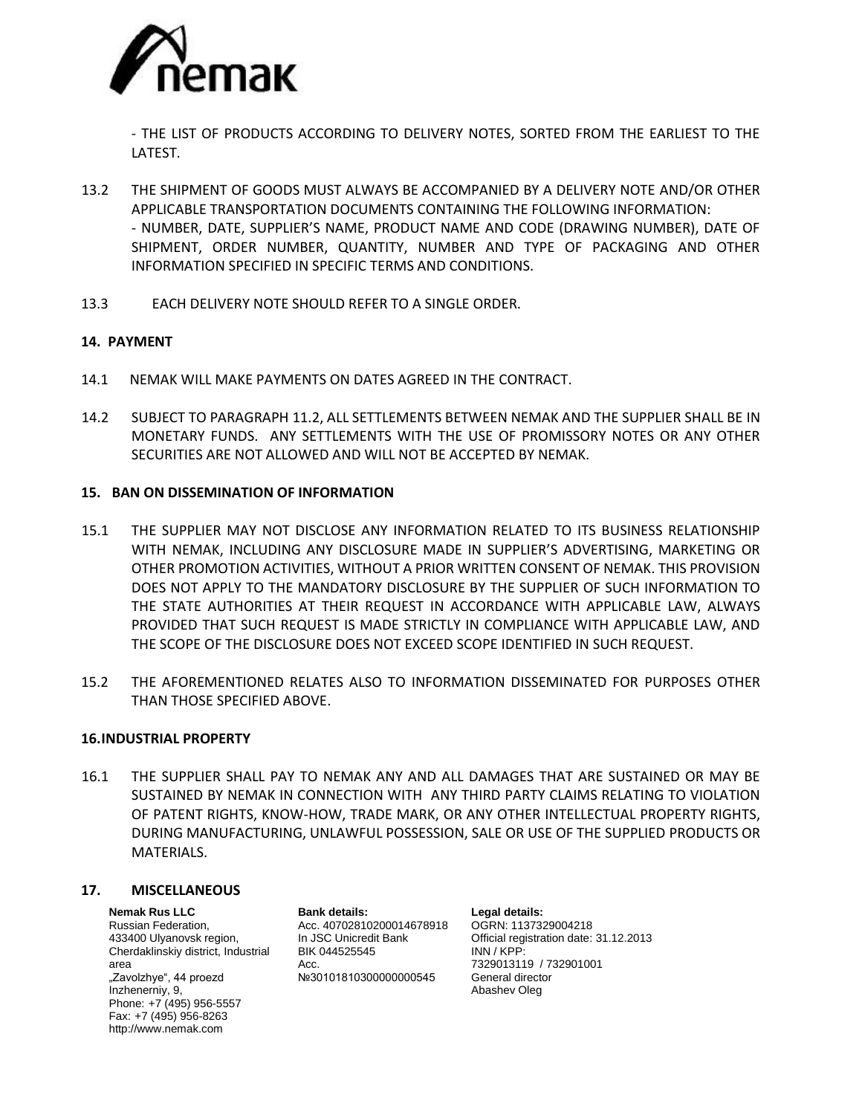

- THE LIST OF PRODUCTS ACCORDING TO DELIVERY NOTES, SORTED FROM THE EARLIEST TO THE LATEST.

- 13.2 THE SHIPMENT OF GOODS MUST ALWAYS BE ACCOMPANIED BY A DELIVERY NOTE AND/OR OTHER APPLICABLE TRANSPORTATION DOCUMENTS CONTAINING THE FOLLOWING INFORMATION: - NUMBER, DATE, SUPPLIER'S NAME, PRODUCT NAME AND CODE (DRAWING NUMBER), DATE OF SHIPMENT, ORDER NUMBER, QUANTITY, NUMBER AND TYPE OF PACKAGING AND OTHER INFORMATION SPECIFIED IN SPECIFIC TERMS AND CONDITIONS.
- 13.3 EACH DELIVERY NOTE SHOULD REFER TO A SINGLE ORDER.

#### **14. PAYMENT**

- 14.1 NEMAK WILL MAKE PAYMENTS ON DATES AGREED IN THE CONTRACT.
- 14.2 SUBJECT TO PARAGRAPH 11.2, ALL SETTLEMENTS BETWEEN NEMAK AND THE SUPPLIER SHALL BE IN MONETARY FUNDS. ANY SETTLEMENTS WITH THE USE OF PROMISSORY NOTES OR ANY OTHER SECURITIES ARE NOT ALLOWED AND WILL NOT BE ACCEPTED BY NEMAK.

#### **15. BAN ON DISSEMINATION OF INFORMATION**

- 15.1 THE SUPPLIER MAY NOT DISCLOSE ANY INFORMATION RELATED TO ITS BUSINESS RELATIONSHIP WITH NEMAK, INCLUDING ANY DISCLOSURE MADE IN SUPPLIER'S ADVERTISING, MARKETING OR OTHER PROMOTION ACTIVITIES, WITHOUT A PRIOR WRITTEN CONSENT OF NEMAK. THIS PROVISION DOES NOT APPLY TO THE MANDATORY DISCLOSURE BY THE SUPPLIER OF SUCH INFORMATION TO THE STATE AUTHORITIES AT THEIR REQUEST IN ACCORDANCE WITH APPLICABLE LAW, ALWAYS PROVIDED THAT SUCH REQUEST IS MADE STRICTLY IN COMPLIANCE WITH APPLICABLE LAW, AND THE SCOPE OF THE DISCLOSURE DOES NOT EXCEED SCOPE IDENTIFIED IN SUCH REQUEST.
- 15.2 THE AFOREMENTIONED RELATES ALSO TO INFORMATION DISSEMINATED FOR PURPOSES OTHER THAN THOSE SPECIFIED ABOVE.

#### **16.INDUSTRIAL PROPERTY**

16.1 THE SUPPLIER SHALL PAY TO NEMAK ANY AND ALL DAMAGES THAT ARE SUSTAINED OR MAY BE SUSTAINED BY NEMAK IN CONNECTION WITH ANY THIRD PARTY CLAIMS RELATING TO VIOLATION OF PATENT RIGHTS, KNOW-HOW, TRADE MARK, OR ANY OTHER INTELLECTUAL PROPERTY RIGHTS, DURING MANUFACTURING, UNLAWFUL POSSESSION, SALE OR USE OF THE SUPPLIED PRODUCTS OR MATERIALS.

# **17. MISCELLANEOUS**

**Nemak Rus LLC** Russian Federation, 433400 Ulyanovsk region, Cherdaklinskiy district, Industrial area "Zavolzhye", 44 proezd Inzhenerniy, 9, Phone: +7 (495) 956-5557 Fax: +7 (495) 956-8263 http://www.nemak.com

**Bank details:** Acc. 40702810200014678918 In JSC Unicredit Bank BIK 044525545 Acc. №30101810300000000545